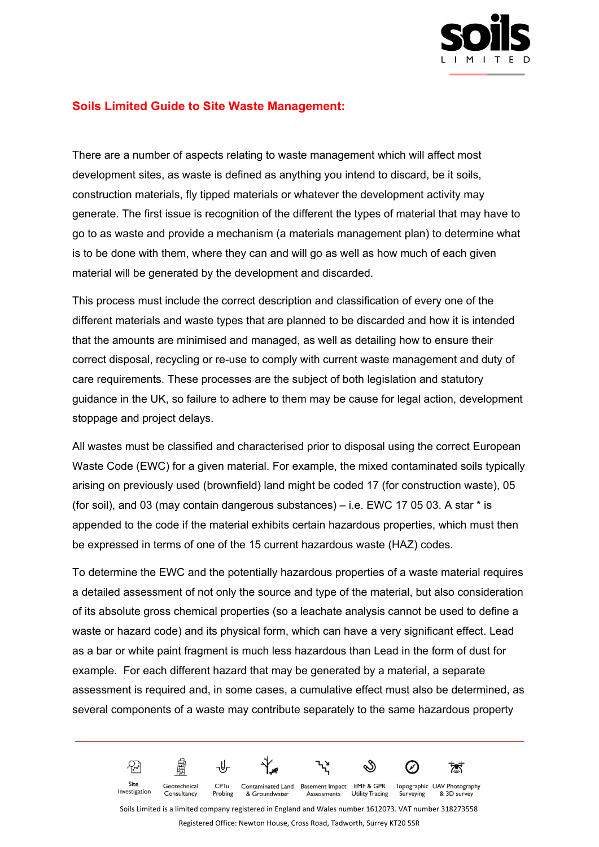

## **Soils Limited Guide to Site Waste Management:**

There are a number of aspects relating to waste management which will affect most development sites, as waste is defined as anything you intend to discard, be it soils, construction materials, fly tipped materials or whatever the development activity may generate. The first issue is recognition of the different the types of material that may have to go to as waste and provide a mechanism (a materials management plan) to determine what is to be done with them, where they can and will go as well as how much of each given material will be generated by the development and discarded.

This process must include the correct description and classification of every one of the different materials and waste types that are planned to be discarded and how it is intended that the amounts are minimised and managed, as well as detailing how to ensure their correct disposal, recycling or re-use to comply with current waste management and duty of care requirements. These processes are the subject of both legislation and statutory guidance in the UK, so failure to adhere to them may be cause for legal action, development stoppage and project delays.

All wastes must be classified and characterised prior to disposal using the correct European Waste Code (EWC) for a given material. For example, the mixed contaminated soils typically arising on previously used (brownfield) land might be coded 17 (for construction waste), 05 (for soil), and 03 (may contain dangerous substances) – i.e. EWC 17 05 03. A star \* is appended to the code if the material exhibits certain hazardous properties, which must then be expressed in terms of one of the 15 current hazardous waste (HAZ) codes.

To determine the EWC and the potentially hazardous properties of a waste material requires a detailed assessment of not only the source and type of the material, but also consideration of its absolute gross chemical properties (so a leachate analysis cannot be used to define a waste or hazard code) and its physical form, which can have a very significant effect. Lead as a bar or white paint fragment is much less hazardous than Lead in the form of dust for example. For each different hazard that may be generated by a material, a separate assessment is required and, in some cases, a cumulative effect must also be determined, as several components of a waste may contribute separately to the same hazardous property



& Groundwater

Consultancy

Probing

Soils Limited is a limited company registered in England and Wales number 1612073. VAT number 318273558

Assessments

Utility Tracing

Registered Office: Newton House, Cross Road, Tadworth, Surrey KT20 5SR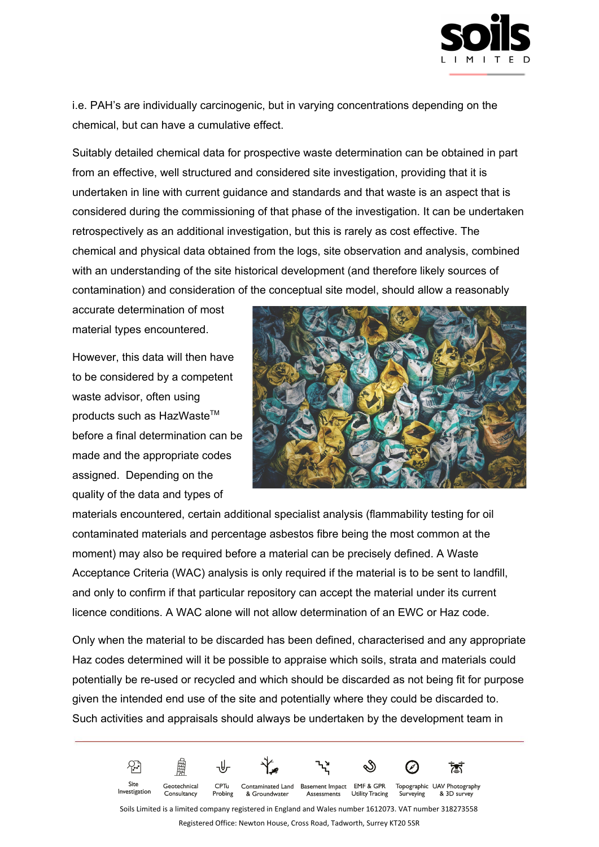

i.e. PAH's are individually carcinogenic, but in varying concentrations depending on the chemical, but can have a cumulative effect.

Suitably detailed chemical data for prospective waste determination can be obtained in part from an effective, well structured and considered site investigation, providing that it is undertaken in line with current guidance and standards and that waste is an aspect that is considered during the commissioning of that phase of the investigation. It can be undertaken retrospectively as an additional investigation, but this is rarely as cost effective. The chemical and physical data obtained from the logs, site observation and analysis, combined with an understanding of the site historical development (and therefore likely sources of contamination) and consideration of the conceptual site model, should allow a reasonably

accurate determination of most material types encountered.

However, this data will then have to be considered by a competent waste advisor, often using products such as HazWaste™ before a final determination can be made and the appropriate codes assigned. Depending on the quality of the data and types of



materials encountered, certain additional specialist analysis (flammability testing for oil contaminated materials and percentage asbestos fibre being the most common at the moment) may also be required before a material can be precisely defined. A Waste Acceptance Criteria (WAC) analysis is only required if the material is to be sent to landfill, and only to confirm if that particular repository can accept the material under its current licence conditions. A WAC alone will not allow determination of an EWC or Haz code.

Only when the material to be discarded has been defined, characterised and any appropriate Haz codes determined will it be possible to appraise which soils, strata and materials could potentially be re-used or recycled and which should be discarded as not being fit for purpose given the intended end use of the site and potentially where they could be discarded to. Such activities and appraisals should always be undertaken by the development team in



Soils Limited is a limited company registered in England and Wales number 1612073. VAT number 318273558 Registered Office: Newton House, Cross Road, Tadworth, Surrey KT20 5SR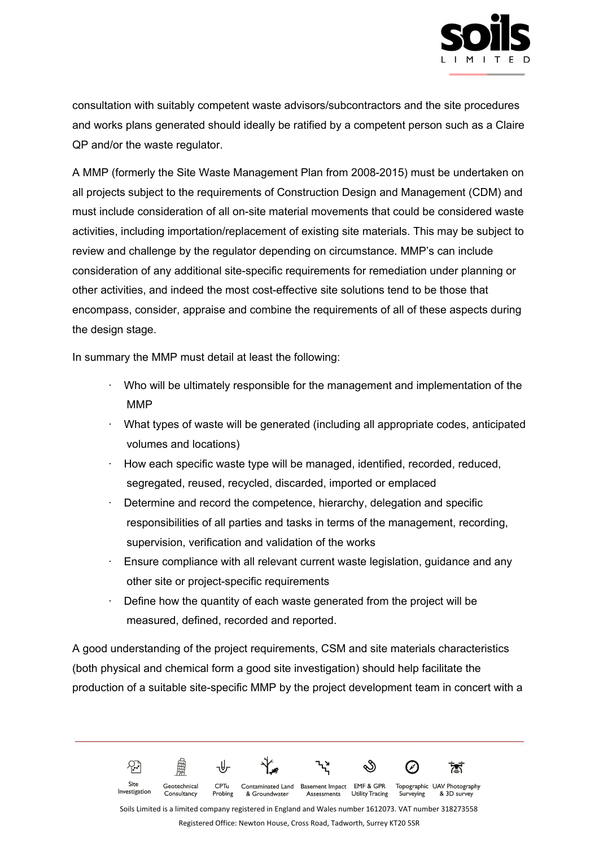

consultation with suitably competent waste advisors/subcontractors and the site procedures and works plans generated should ideally be ratified by a competent person such as a Claire QP and/or the waste regulator.

A MMP (formerly the Site Waste Management Plan from 2008-2015) must be undertaken on all projects subject to the requirements of Construction Design and Management (CDM) and must include consideration of all on-site material movements that could be considered waste activities, including importation/replacement of existing site materials. This may be subject to review and challenge by the regulator depending on circumstance. MMP's can include consideration of any additional site-specific requirements for remediation under planning or other activities, and indeed the most cost-effective site solutions tend to be those that encompass, consider, appraise and combine the requirements of all of these aspects during the design stage.

In summary the MMP must detail at least the following:

- · Who will be ultimately responsible for the management and implementation of the MMP
- · What types of waste will be generated (including all appropriate codes, anticipated volumes and locations)
- · How each specific waste type will be managed, identified, recorded, reduced, segregated, reused, recycled, discarded, imported or emplaced
- Determine and record the competence, hierarchy, delegation and specific responsibilities of all parties and tasks in terms of the management, recording, supervision, verification and validation of the works
- Ensure compliance with all relevant current waste legislation, guidance and any other site or project-specific requirements
- Define how the quantity of each waste generated from the project will be measured, defined, recorded and reported.

A good understanding of the project requirements, CSM and site materials characteristics (both physical and chemical form a good site investigation) should help facilitate the production of a suitable site-specific MMP by the project development team in concert with a